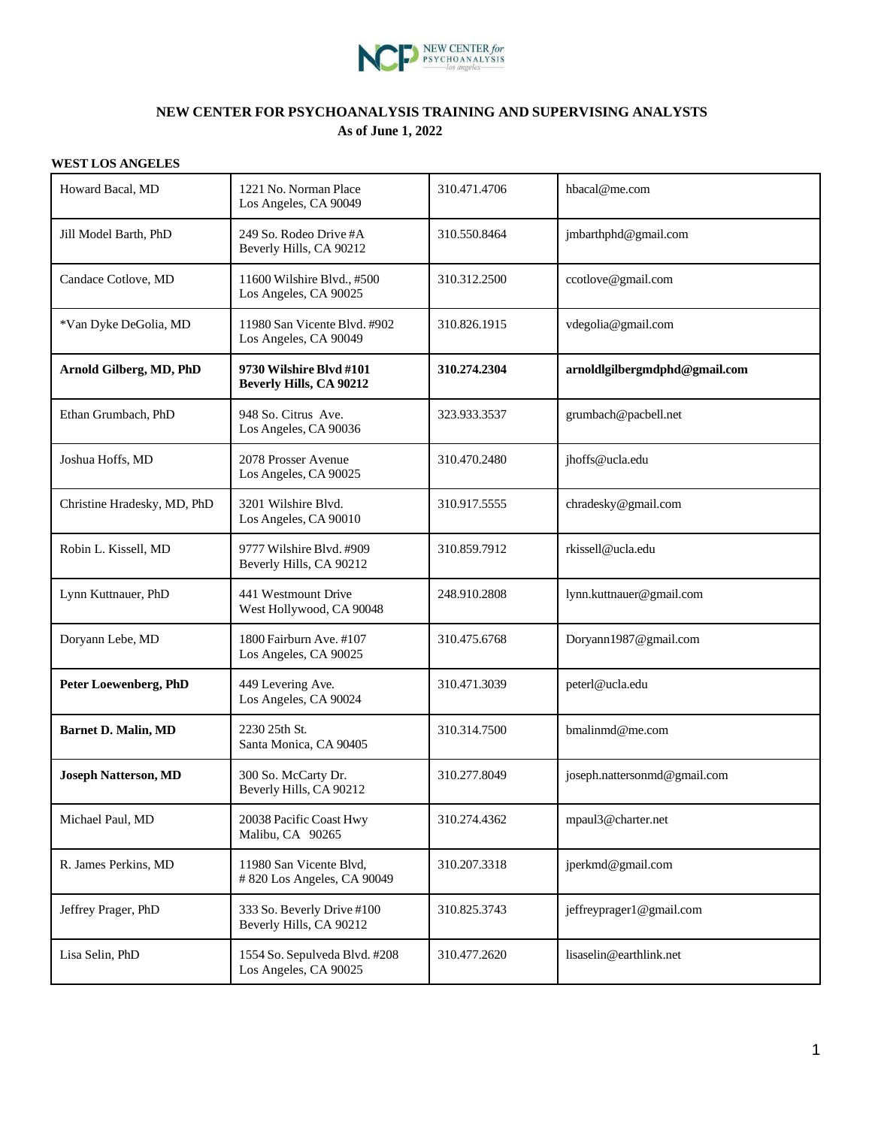

### **NEW CENTER FOR PSYCHOANALYSIS TRAINING AND SUPERVISING ANALYSTS As of June 1, 2022**

#### **WEST LOS ANGELES**

| Howard Bacal, MD             | 1221 No. Norman Place<br>Los Angeles, CA 90049            | 310.471.4706 | hbacal@me.com                 |
|------------------------------|-----------------------------------------------------------|--------------|-------------------------------|
| Jill Model Barth, PhD        | 249 So. Rodeo Drive #A<br>Beverly Hills, CA 90212         | 310.550.8464 | jmbarthphd@gmail.com          |
| Candace Cotlove, MD          | 11600 Wilshire Blvd., #500<br>Los Angeles, CA 90025       | 310.312.2500 | ccotlove@gmail.com            |
| *Van Dyke DeGolia, MD        | 11980 San Vicente Blvd. #902<br>Los Angeles, CA 90049     | 310.826.1915 | vdegolia@gmail.com            |
| Arnold Gilberg, MD, PhD      | 9730 Wilshire Blvd #101<br><b>Beverly Hills, CA 90212</b> | 310.274.2304 | arnoldlgilbergmdphd@gmail.com |
| Ethan Grumbach, PhD          | 948 So. Citrus Ave.<br>Los Angeles, CA 90036              | 323.933.3537 | grumbach@pacbell.net          |
| Joshua Hoffs, MD             | 2078 Prosser Avenue<br>Los Angeles, CA 90025              | 310.470.2480 | jhoffs@ucla.edu               |
| Christine Hradesky, MD, PhD  | 3201 Wilshire Blvd.<br>Los Angeles, CA 90010              | 310.917.5555 | chradesky@gmail.com           |
| Robin L. Kissell, MD         | 9777 Wilshire Blvd. #909<br>Beverly Hills, CA 90212       | 310.859.7912 | rkissell@ucla.edu             |
| Lynn Kuttnauer, PhD          | 441 Westmount Drive<br>West Hollywood, CA 90048           | 248.910.2808 | lynn.kuttnauer@gmail.com      |
| Doryann Lebe, MD             | 1800 Fairburn Ave. #107<br>Los Angeles, CA 90025          | 310.475.6768 | Doryann1987@gmail.com         |
| <b>Peter Loewenberg, PhD</b> | 449 Levering Ave.<br>Los Angeles, CA 90024                | 310.471.3039 | peterl@ucla.edu               |
| <b>Barnet D. Malin, MD</b>   | 2230 25th St.<br>Santa Monica, CA 90405                   | 310.314.7500 | bmalinmd@me.com               |
| <b>Joseph Natterson, MD</b>  | 300 So. McCarty Dr.<br>Beverly Hills, CA 90212            | 310.277.8049 | joseph.nattersonmd@gmail.com  |
| Michael Paul, MD             | 20038 Pacific Coast Hwy<br>Malibu, CA 90265               | 310.274.4362 | mpaul3@charter.net            |
| R. James Perkins, MD         | 11980 San Vicente Blvd,<br>#820 Los Angeles, CA 90049     | 310.207.3318 | jperkmd@gmail.com             |
| Jeffrey Prager, PhD          | 333 So. Beverly Drive #100<br>Beverly Hills, CA 90212     | 310.825.3743 | jeffreyprager1@gmail.com      |
| Lisa Selin, PhD              | 1554 So. Sepulveda Blvd. #208<br>Los Angeles, CA 90025    | 310.477.2620 | lisaselin@earthlink.net       |